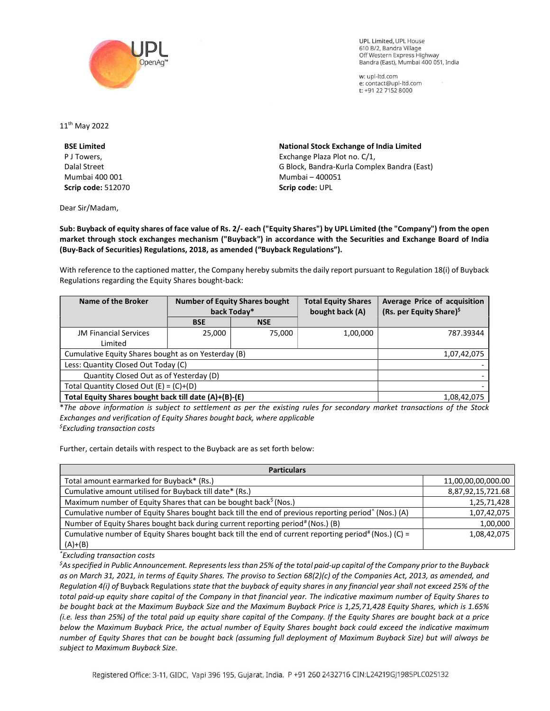

**UPL Limited. UPL House** 610 B/2, Bandra Village Off Western Express Highway Bandra (East), Mumbai 400 051, India

w: upl-ltd.com e: contact@upl-ltd.com t: +91 22 7152 8000

11th May 2022

BSE Limited P J Towers, Dalal Street Mumbai 400 001 Scrip code: 512070

Dear Sir/Madam,

National Stock Exchange of India Limited Exchange Plaza Plot no. C/1, G Block, Bandra-Kurla Complex Bandra (East) Mumbai – 400051 Scrip code: UPL

Sub: Buyback of equity shares of face value of Rs. 2/- each ("Equity Shares") by UPL Limited (the "Company") from the open market through stock exchanges mechanism ("Buyback") in accordance with the Securities and Exchange Board of India (Buy-Back of Securities) Regulations, 2018, as amended ("Buyback Regulations").

With reference to the captioned matter, the Company hereby submits the daily report pursuant to Regulation 18(i) of Buyback Regulations regarding the Equity Shares bought-back:

| Name of the Broker                                    | <b>Number of Equity Shares bought</b><br>back Today* |            | <b>Total Equity Shares</b><br>bought back (A) | Average Price of acquisition<br>(Rs. per Equity Share) <sup>\$</sup> |
|-------------------------------------------------------|------------------------------------------------------|------------|-----------------------------------------------|----------------------------------------------------------------------|
|                                                       | <b>BSE</b>                                           | <b>NSE</b> |                                               |                                                                      |
| <b>JM Financial Services</b>                          | 25,000                                               | 75,000     | 1,00,000                                      | 787.39344                                                            |
| Limited                                               |                                                      |            |                                               |                                                                      |
| Cumulative Equity Shares bought as on Yesterday (B)   |                                                      |            |                                               | 1,07,42,075                                                          |
| Less: Quantity Closed Out Today (C)                   |                                                      |            |                                               |                                                                      |
| Quantity Closed Out as of Yesterday (D)               |                                                      |            |                                               |                                                                      |
| Total Quantity Closed Out $(E) = (C)+(D)$             |                                                      |            |                                               |                                                                      |
| Total Equity Shares bought back till date (A)+(B)-(E) |                                                      |            |                                               | 1,08,42,075                                                          |

\*The above information is subject to settlement as per the existing rules for secondary market transactions of the Stock Exchanges and verification of Equity Shares bought back, where applicable  $<sup>5</sup>$ Excluding transaction costs</sup>

Further, certain details with respect to the Buyback are as set forth below:

| <b>Particulars</b>                                                                                               |                    |  |  |  |
|------------------------------------------------------------------------------------------------------------------|--------------------|--|--|--|
| Total amount earmarked for Buyback* (Rs.)                                                                        | 11,00,00,00,000.00 |  |  |  |
| Cumulative amount utilised for Buyback till date* (Rs.)                                                          | 8,87,92,15,721.68  |  |  |  |
| Maximum number of Equity Shares that can be bought back <sup>§</sup> (Nos.)                                      | 1,25,71,428        |  |  |  |
| Cumulative number of Equity Shares bought back till the end of previous reporting period <sup>^</sup> (Nos.) (A) | 1,07,42,075        |  |  |  |
| Number of Equity Shares bought back during current reporting period#(Nos.) (B)                                   | 1,00,000           |  |  |  |
| Cumulative number of Equity Shares bought back till the end of current reporting period# (Nos.) (C) =            | 1,08,42,075        |  |  |  |
| $(A)+(B)$                                                                                                        |                    |  |  |  |

\*Excluding transaction costs

 ${}^5$ As specified in Public Announcement. Represents less than 25% of the total paid-up capital of the Company prior to the Buyback as on March 31, 2021, in terms of Equity Shares. The proviso to Section 68(2)(c) of the Companies Act, 2013, as amended, and Regulation 4(i) of Buyback Regulations state that the buyback of equity shares in any financial year shall not exceed 25% of the total paid-up equity share capital of the Company in that financial year. The indicative maximum number of Equity Shares to be bought back at the Maximum Buyback Size and the Maximum Buyback Price is 1,25,71,428 Equity Shares, which is 1.65% (i.e. less than 25%) of the total paid up equity share capital of the Company. If the Equity Shares are bought back at a price below the Maximum Buyback Price, the actual number of Equity Shares bought back could exceed the indicative maximum number of Equity Shares that can be bought back (assuming full deployment of Maximum Buyback Size) but will always be subject to Maximum Buyback Size.